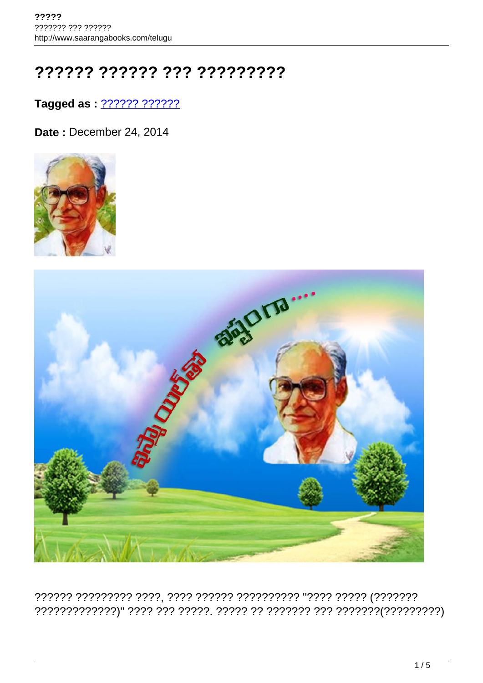## ?????? ?????? ??? ?????????

Tagged as: 222222 222222

Date: December 24, 2014



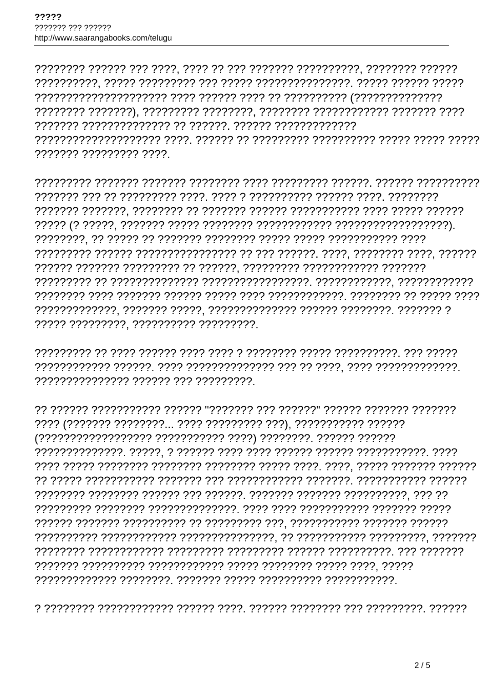,,,,,,,,,,,,,,,,,,,,,,,,,,

????? ?????????. ?????????? ?????????.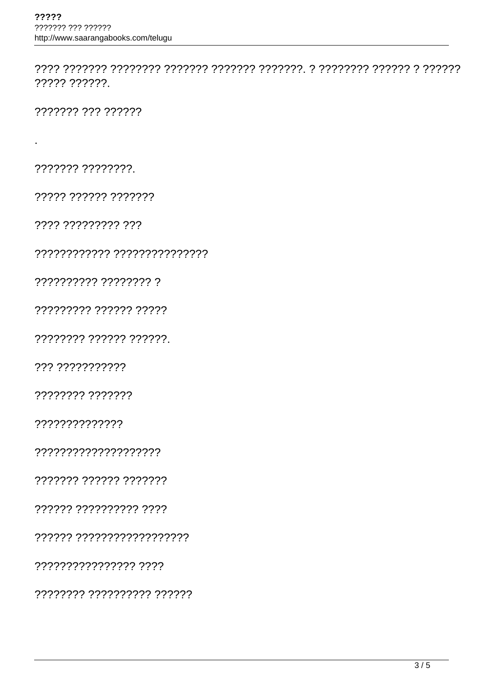????? ??????.

??????? ??? ??????

??????? ????????

 $\mathbf{r}$ 

????? ?????? ???????

???? ????????? ???

???????????? ???????????????

?????????? ???????? ?

????????? ?????? ?????

,,,,,,,,,,,,,,,,,,,,,,,,

??? ???????????

77777777 7777777

??????????????

????????????????????

7777777 777777 7777777

?????? ?????????? ????

777777 7777777777777777777

7777777777777777 7777

???????? ????????? ??????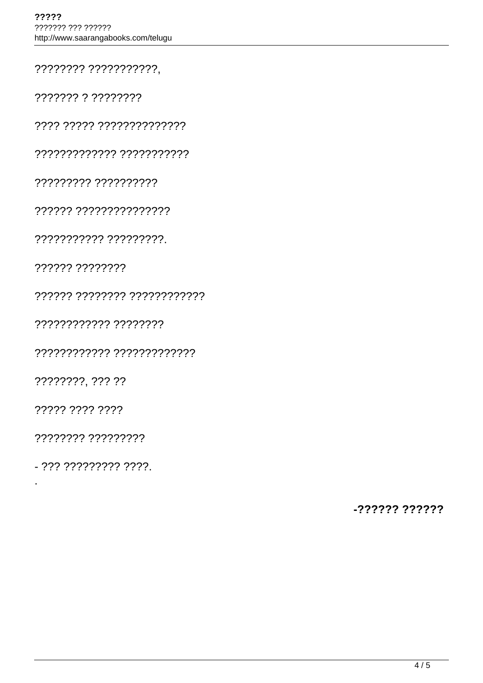???????? ???????????.

??????? ? ????????

???? ????? ??????????????

????????????? ???????????

????????? ??????????

?????? ???????????????

??????????? ?????????

?????? ????????

?????? ???????? ????????????

???????????? ????????

???????????? ?????????????

????????, ??? ??

????? ???? ????

???????? ?????????

- ??? ????????? ????

-?????? ??????